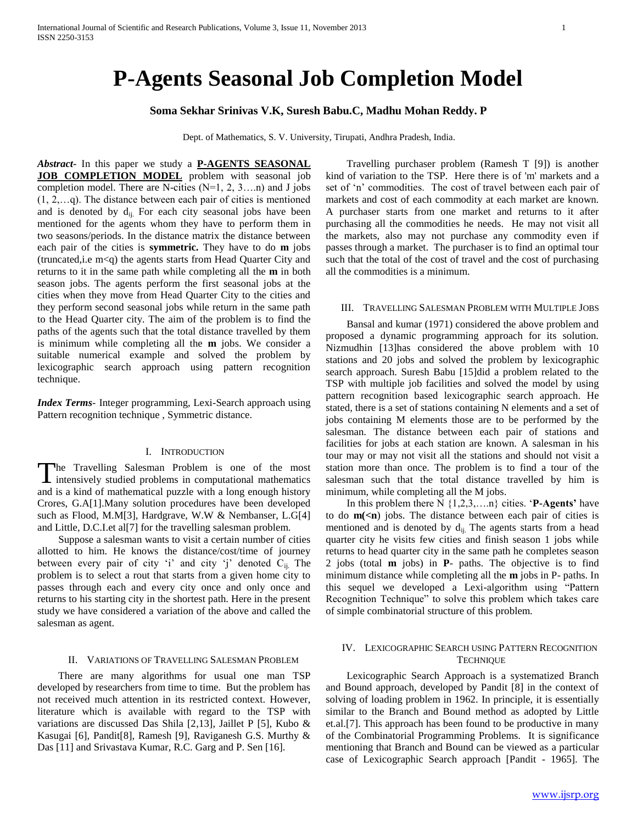# **P-Agents Seasonal Job Completion Model**

# **Soma Sekhar Srinivas V.K, Suresh Babu.C, Madhu Mohan Reddy. P**

Dept. of Mathematics, S. V. University, Tirupati, Andhra Pradesh, India.

*Abstract***-** In this paper we study a **P-AGENTS SEASONAL JOB COMPLETION MODEL** problem with seasonal job completion model. There are N-cities (N=1, 2, 3….n) and J jobs (1, 2,…q). The distance between each pair of cities is mentioned and is denoted by  $d_{ii}$ . For each city seasonal jobs have been mentioned for the agents whom they have to perform them in two seasons/periods. In the distance matrix the distance between each pair of the cities is **symmetric.** They have to do **m** jobs  $(truncated, i.e, m < q)$  the agents starts from Head Quarter City and returns to it in the same path while completing all the **m** in both season jobs. The agents perform the first seasonal jobs at the cities when they move from Head Quarter City to the cities and they perform second seasonal jobs while return in the same path to the Head Quarter city. The aim of the problem is to find the paths of the agents such that the total distance travelled by them is minimum while completing all the **m** jobs. We consider a suitable numerical example and solved the problem by lexicographic search approach using pattern recognition technique.

*Index Terms*- Integer programming, Lexi-Search approach using Pattern recognition technique , Symmetric distance.

# I. INTRODUCTION

he Travelling Salesman Problem is one of the most intensively studied problems in computational mathematics The Travelling Salesman Problem is one of the most intensively studied problems in computational mathematics and is a kind of mathematical puzzle with a long enough history Crores, G.A[1].Many solution procedures have been developed such as Flood, M.M[3], Hardgrave, W.W & Nembanser, L.G[4] and Little, D.C.I.et al[7] for the travelling salesman problem.

 Suppose a salesman wants to visit a certain number of cities allotted to him. He knows the distance/cost/time of journey between every pair of city 'i' and city 'j' denoted  $C_{ii}$ . The problem is to select a rout that starts from a given home city to passes through each and every city once and only once and returns to his starting city in the shortest path. Here in the present study we have considered a variation of the above and called the salesman as agent.

#### II. VARIATIONS OF TRAVELLING SALESMAN PROBLEM

 There are many algorithms for usual one man TSP developed by researchers from time to time. But the problem has not received much attention in its restricted context. However, literature which is available with regard to the TSP with variations are discussed Das Shila [2,13], Jaillet P [5], Kubo & Kasugai [6], Pandit[8], Ramesh [9], Raviganesh G.S. Murthy & Das [11] and Srivastava Kumar, R.C. Garg and P. Sen [16].

 Travelling purchaser problem (Ramesh T [9]) is another kind of variation to the TSP. Here there is of 'm' markets and a set of 'n' commodities. The cost of travel between each pair of markets and cost of each commodity at each market are known. A purchaser starts from one market and returns to it after purchasing all the commodities he needs. He may not visit all the markets, also may not purchase any commodity even if passes through a market. The purchaser is to find an optimal tour such that the total of the cost of travel and the cost of purchasing all the commodities is a minimum.

#### III. TRAVELLING SALESMAN PROBLEM WITH MULTIPLE JOBS

 Bansal and kumar (1971) considered the above problem and proposed a dynamic programming approach for its solution. Nizmudhin [13]has considered the above problem with 10 stations and 20 jobs and solved the problem by lexicographic search approach. Suresh Babu [15]did a problem related to the TSP with multiple job facilities and solved the model by using pattern recognition based lexicographic search approach. He stated, there is a set of stations containing N elements and a set of jobs containing M elements those are to be performed by the salesman. The distance between each pair of stations and facilities for jobs at each station are known. A salesman in his tour may or may not visit all the stations and should not visit a station more than once. The problem is to find a tour of the salesman such that the total distance travelled by him is minimum, while completing all the M jobs.

 In this problem there N {1,2,3,….n} cities. '**P-Agents'** have to do **m(<n**) jobs. The distance between each pair of cities is mentioned and is denoted by  $d_{ii}$ . The agents starts from a head quarter city he visits few cities and finish season 1 jobs while returns to head quarter city in the same path he completes season 2 jobs (total **m** jobs) in **P**- paths. The objective is to find minimum distance while completing all the **m** jobs in P- paths. In this sequel we developed a Lexi-algorithm using "Pattern Recognition Technique" to solve this problem which takes care of simple combinatorial structure of this problem.

# IV. LEXICOGRAPHIC SEARCH USING PATTERN RECOGNITION **TECHNIQUE**

 Lexicographic Search Approach is a systematized Branch and Bound approach, developed by Pandit [8] in the context of solving of loading problem in 1962. In principle, it is essentially similar to the Branch and Bound method as adopted by Little et.al.[7]. This approach has been found to be productive in many of the Combinatorial Programming Problems. It is significance mentioning that Branch and Bound can be viewed as a particular case of Lexicographic Search approach [Pandit - 1965]. The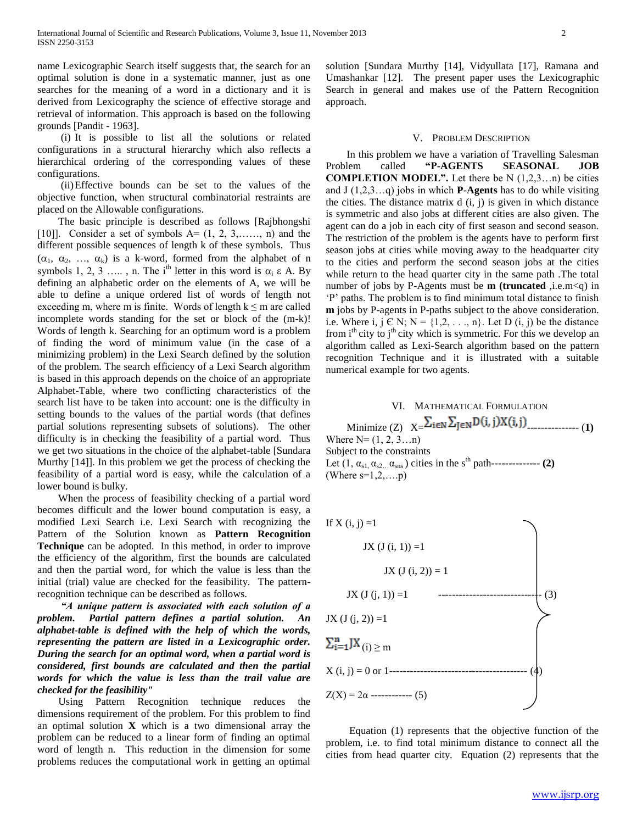name Lexicographic Search itself suggests that, the search for an optimal solution is done in a systematic manner, just as one searches for the meaning of a word in a dictionary and it is derived from Lexicography the science of effective storage and retrieval of information. This approach is based on the following grounds [Pandit - 1963].

 (i) It is possible to list all the solutions or related configurations in a structural hierarchy which also reflects a hierarchical ordering of the corresponding values of these configurations.

 (ii)Effective bounds can be set to the values of the objective function, when structural combinatorial restraints are placed on the Allowable configurations.

 The basic principle is described as follows [Rajbhongshi [10]]. Consider a set of symbols  $A = (1, 2, 3, \ldots, n)$  and the different possible sequences of length k of these symbols. Thus  $(\alpha_1, \alpha_2, ..., \alpha_k)$  is a k-word, formed from the alphabet of n symbols 1, 2, 3 ….., n. The i<sup>th</sup> letter in this word is  $\alpha_i \varepsilon A$ . By defining an alphabetic order on the elements of A, we will be able to define a unique ordered list of words of length not exceeding m, where m is finite. Words of length  $k \le m$  are called incomplete words standing for the set or block of the (m-k)! Words of length k. Searching for an optimum word is a problem of finding the word of minimum value (in the case of a minimizing problem) in the Lexi Search defined by the solution of the problem. The search efficiency of a Lexi Search algorithm is based in this approach depends on the choice of an appropriate Alphabet-Table, where two conflicting characteristics of the search list have to be taken into account: one is the difficulty in setting bounds to the values of the partial words (that defines partial solutions representing subsets of solutions). The other difficulty is in checking the feasibility of a partial word. Thus we get two situations in the choice of the alphabet-table [Sundara Murthy [14]]. In this problem we get the process of checking the feasibility of a partial word is easy, while the calculation of a lower bound is bulky.

 When the process of feasibility checking of a partial word becomes difficult and the lower bound computation is easy, a modified Lexi Search i.e. Lexi Search with recognizing the Pattern of the Solution known as **Pattern Recognition Technique** can be adopted. In this method, in order to improve the efficiency of the algorithm, first the bounds are calculated and then the partial word, for which the value is less than the initial (trial) value are checked for the feasibility. The patternrecognition technique can be described as follows.

 *"A unique pattern is associated with each solution of a problem. Partial pattern defines a partial solution. An alphabet-table is defined with the help of which the words, representing the pattern are listed in a Lexicographic order. During the search for an optimal word, when a partial word is considered, first bounds are calculated and then the partial words for which the value is less than the trail value are checked for the feasibility"*

 Using Pattern Recognition technique reduces the dimensions requirement of the problem. For this problem to find an optimal solution **X** which is a two dimensional array the problem can be reduced to a linear form of finding an optimal word of length n. This reduction in the dimension for some problems reduces the computational work in getting an optimal

solution [Sundara Murthy [14], Vidyullata [17], Ramana and Umashankar [12]. The present paper uses the Lexicographic Search in general and makes use of the Pattern Recognition approach.

#### V. PROBLEM DESCRIPTION

 In this problem we have a variation of Travelling Salesman Problem called **"P-AGENTS SEASONAL JOB COMPLETION MODEL".** Let there be  $N(1,2,3...n)$  be cities and J (1,2,3…q) jobs in which **P-Agents** has to do while visiting the cities. The distance matrix  $d(i, j)$  is given in which distance is symmetric and also jobs at different cities are also given. The agent can do a job in each city of first season and second season. The restriction of the problem is the agents have to perform first season jobs at cities while moving away to the headquarter city to the cities and perform the second season jobs at the cities while return to the head quarter city in the same path .The total number of jobs by P-Agents must be **m (truncated** ,i.e.m<q) in 'P' paths. The problem is to find minimum total distance to finish **m** jobs by P-agents in P-paths subject to the above consideration. i.e. Where i, j C N;  $N = \{1, 2, ..., n\}$ . Let D (i, j) be the distance from i<sup>th</sup> city to j<sup>th</sup> city which is symmetric. For this we develop an algorithm called as Lexi-Search algorithm based on the pattern recognition Technique and it is illustrated with a suitable numerical example for two agents.

# VI. MATHEMATICAL FORMULATION Minimize (Z)  $X = \sum_{i \in N} \sum_{j \in N} D(i, j) X(i, j)$ Where  $N=(1, 2, 3...n)$ Subject to the constraints Let  $(1, \alpha_{s1}, \alpha_{s2} \dots \alpha_{sns})$  cities in the s<sup>th</sup> path--------------- (2) (Where  $s=1,2,...,p$ )



 Equation (1) represents that the objective function of the problem, i.e. to find total minimum distance to connect all the cities from head quarter city. Equation (2) represents that the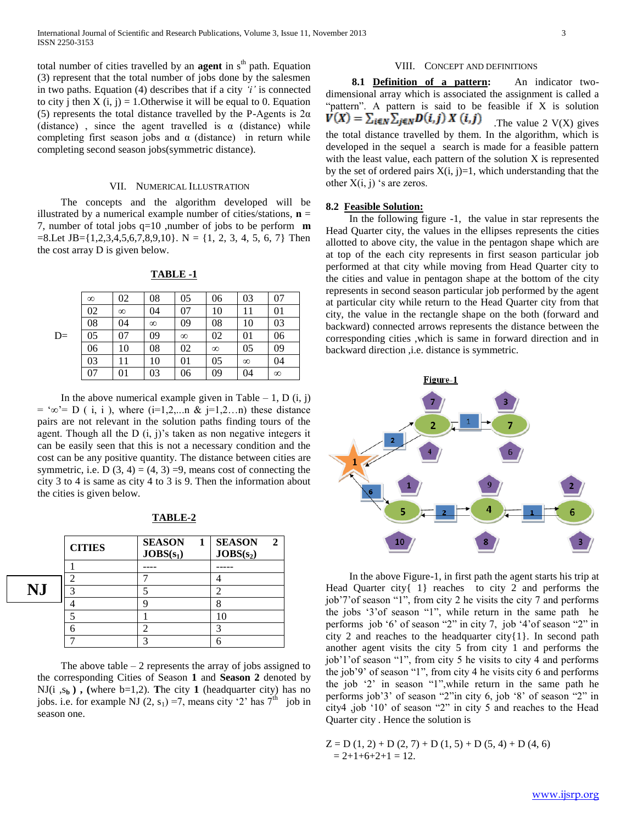total number of cities travelled by an **agent** in  $s<sup>th</sup>$  path. Equation (3) represent that the total number of jobs done by the salesmen in two paths. Equation (4) describes that if a city *'i'* is connected to city j then  $X(i, j) = 1$ . Otherwise it will be equal to 0. Equation (5) represents the total distance travelled by the P-Agents is  $2\alpha$ (distance), since the agent travelled is  $\alpha$  (distance) while completing first season jobs and  $\alpha$  (distance) in return while completing second season jobs(symmetric distance).

#### VII. NUMERICAL ILLUSTRATION

 The concepts and the algorithm developed will be illustrated by a numerical example number of cities/stations,  $\mathbf{n} =$ 7, number of total jobs q=10 ,number of jobs to be perform **m**   $=8$ .Let JB={1,2,3,4,5,6,7,8,9,10}. N = {1, 2, 3, 4, 5, 6, 7} Then the cost array D is given below.

|      | $\infty$ | 02       | 08       | 05       | 06       | 03       | 07       |
|------|----------|----------|----------|----------|----------|----------|----------|
|      | 02       | $\infty$ | 04       | 07       | 10       | 11       | 01       |
|      | 08       | 04       | $\infty$ | 09       | 08       | 10       | 03       |
| $D=$ | 05       | 07       | 09       | $\infty$ | 02       | 01       | 06       |
|      | 06       | 10       | 08       | 02       | $\infty$ | 05       | 09       |
|      | 03       | 11       | 10       | 01       | 05       | $\infty$ | 04       |
|      | 07       | 01       | 03       | 06       | 09       | 04       | $\infty$ |

**TABLE -1**

In the above numerical example given in Table  $-1$ , D  $(i, j)$  $=$  '∞'= D ( i, i ), where (i=1,2,...n & j=1,2...n) these distance pairs are not relevant in the solution paths finding tours of the agent. Though all the  $D(i, j)$ 's taken as non negative integers it can be easily seen that this is not a necessary condition and the cost can be any positive quantity. The distance between cities are symmetric, i.e. D  $(3, 4) = (4, 3) = 9$ , means cost of connecting the city 3 to 4 is same as city 4 to 3 is 9. Then the information about the cities is given below.

|    | <b>CITIES</b> | <b>SEASON</b><br><sup>1</sup><br>$JOBS(s_1)$ | <b>SEASON</b><br>$\mathbf{2}$<br>JOBS(s <sub>2</sub> ) |
|----|---------------|----------------------------------------------|--------------------------------------------------------|
|    |               |                                              |                                                        |
|    |               |                                              |                                                        |
| NJ |               |                                              |                                                        |
|    |               | וי                                           |                                                        |
|    |               |                                              | 10                                                     |
|    |               | 2                                            |                                                        |
|    |               |                                              |                                                        |

**=**

**TABLE-2**

The above table  $-2$  represents the array of jobs assigned to the corresponding Cities of Season **1** and **Season 2** denoted by NJ(i,  $s_b$ ), (where  $b=1,2$ ). The city 1 (headquarter city) has no jobs. i.e. for example NJ (2, s<sub>1</sub>) =7, means city '2' has  $7<sup>th</sup>$  job in season one.

# VIII. CONCEPT AND DEFINITIONS

 **8.1 Definition of a pattern:** An indicator twodimensional array which is associated the assignment is called a "pattern". A pattern is said to be feasible if X is solution  $V(X) = \sum_{i \in N} \sum_{j \in N} D(i, j) X(i, j)$  The value 2 V(X) gives the total distance travelled by them. In the algorithm, which is developed in the sequel a search is made for a feasible pattern with the least value, each pattern of the solution X is represented by the set of ordered pairs  $X(i, j)=1$ , which understanding that the other  $X(i, j)$  's are zeros.

# **8.2 Feasible Solution:**

 In the following figure -1, the value in star represents the Head Quarter city, the values in the ellipses represents the cities allotted to above city, the value in the pentagon shape which are at top of the each city represents in first season particular job performed at that city while moving from Head Quarter city to the cities and value in pentagon shape at the bottom of the city represents in second season particular job performed by the agent at particular city while return to the Head Quarter city from that city, the value in the rectangle shape on the both (forward and backward) connected arrows represents the distance between the corresponding cities ,which is same in forward direction and in backward direction ,i.e. distance is symmetric.



 In the above Figure-1, in first path the agent starts his trip at Head Quarter city{ 1} reaches to city 2 and performs the job'7'of season "1", from city 2 he visits the city 7 and performs the jobs '3'of season "1", while return in the same path he performs job '6' of season "2" in city 7, job '4'of season "2" in city 2 and reaches to the headquarter city{1}. In second path another agent visits the city 5 from city 1 and performs the job'1'of season "1", from city 5 he visits to city 4 and performs the job'9' of season "1", from city 4 he visits city 6 and performs the job '2' in season "1",while return in the same path he performs job'3' of season "2"in city 6, job '8' of season "2" in city4 ,job '10' of season "2" in city 5 and reaches to the Head Quarter city . Hence the solution is

 $Z = D(1, 2) + D(2, 7) + D(1, 5) + D(5, 4) + D(4, 6)$  $= 2+1+6+2+1 = 12.$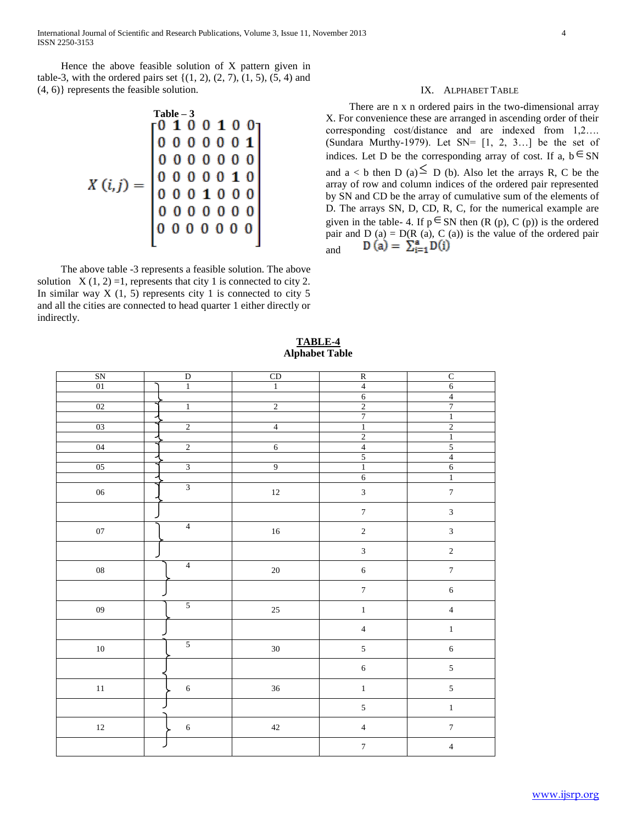Hence the above feasible solution of X pattern given in table-3, with the ordered pairs set  $\{(1, 2), (2, 7), (1, 5), (5, 4) \}$  and (4, 6)} represents the feasible solution.

$$
X(i,j) = \begin{bmatrix} \n\text{Table -3} \\
0 & 1 & 0 & 0 & 1 & 0 & 0 \\
0 & 0 & 0 & 0 & 0 & 0 & 1 \\
0 & 0 & 0 & 0 & 0 & 0 & 0 \\
0 & 0 & 0 & 0 & 0 & 1 & 0 \\
0 & 0 & 0 & 0 & 0 & 0 & 0 \\
0 & 0 & 0 & 0 & 0 & 0 & 0 \\
0 & 0 & 0 & 0 & 0 & 0 & 0 \\
0 & 0 & 0 & 0 & 0 & 0 & 0\n\end{bmatrix}
$$

 The above table -3 represents a feasible solution. The above solution  $X(1, 2) = 1$ , represents that city 1 is connected to city 2. In similar way  $X(1, 5)$  represents city 1 is connected to city 5 and all the cities are connected to head quarter 1 either directly or indirectly.

#### IX. ALPHABET TABLE

 There are n x n ordered pairs in the two-dimensional array X. For convenience these are arranged in ascending order of their corresponding cost/distance and are indexed from 1,2…. (Sundara Murthy-1979). Let SN= [1, 2, 3…] be the set of indices. Let D be the corresponding array of cost. If a,  $b \in SN$ and  $a < b$  then  $D(a) \leq D(b)$ . Also let the arrays R, C be the array of row and column indices of the ordered pair represented by SN and CD be the array of cumulative sum of the elements of D. The arrays SN, D, CD, R, C, for the numerical example are given in the table- 4. If  $p \in SN$  then (R (p), C (p)) is the ordered pair and  $D(a) = D(R(a), C(a))$  is the value of the ordered pair and

| SN         | $\overline{D}$          |                      | $\overline{\text{R}}$        | $\overline{C}$              |
|------------|-------------------------|----------------------|------------------------------|-----------------------------|
|            | $\overline{1}$          | CD<br>$\overline{1}$ |                              |                             |
| $01\,$     |                         |                      | $\overline{4}$<br>$\sqrt{6}$ | $\overline{6}$              |
| $02\,$     | $\overline{1}$          | $\overline{2}$       |                              | $\frac{4}{7}$               |
|            |                         |                      | $\frac{2}{7}$                | $\overline{1}$              |
| 03         | $\overline{2}$          | $\overline{4}$       | $\overline{1}$               | $\overline{2}$              |
|            |                         |                      | $\overline{2}$               | $\overline{1}$              |
| 04         | $\overline{c}$          | $\sqrt{6}$           | $\overline{4}$               | $\overline{5}$              |
|            |                         |                      | $\overline{5}$               | $\overline{4}$              |
| $05\,$     | $\overline{\mathbf{3}}$ | 9                    | $\overline{1}$               | $\overline{6}$              |
|            |                         |                      | $\overline{6}$               | $\,1\,$                     |
| $06\,$     | $\overline{\mathbf{3}}$ | $12\,$               | $\mathfrak{Z}$               | $\overline{7}$              |
|            |                         |                      | $\boldsymbol{7}$             | $\mathfrak 3$               |
| $07\,$     | $\overline{4}$          | $16\,$               | $\sqrt{2}$                   | $\ensuremath{\mathfrak{Z}}$ |
|            |                         |                      | $\overline{3}$               | $\sqrt{2}$                  |
| ${\bf 08}$ | $\overline{4}$          | $20\,$               | $\sqrt{6}$                   | $\boldsymbol{7}$            |
|            |                         |                      | $\boldsymbol{7}$             | $\sqrt{6}$                  |
| ${\bf 09}$ | 5                       | $25\,$               | $\,1\,$                      | $\overline{4}$              |
|            |                         |                      | $\overline{4}$               | $\bar{1}$                   |
| $10\,$     | $\overline{5}$          | $30\,$               | $\sqrt{5}$                   | $\overline{6}$              |
|            |                         |                      | $\sqrt{6}$                   | $\sqrt{5}$                  |
| $11\,$     | $\sqrt{6}$              | $36\,$               | $\,1\,$                      | $\sqrt{5}$                  |
|            |                         |                      | $\sqrt{5}$                   | $\,1\,$                     |
| $12\,$     | $\sqrt{6}$              | $42\,$               | $\sqrt{4}$                   | $\boldsymbol{7}$            |
|            |                         |                      | $\boldsymbol{7}$             | $\sqrt{4}$                  |
|            |                         |                      |                              |                             |

# **TABLE-4 Alphabet Table**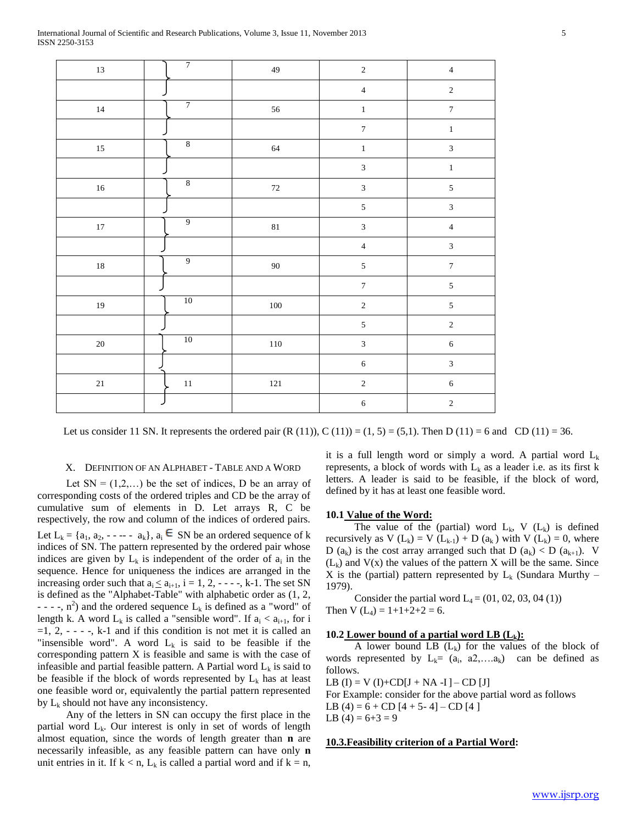| $13\,$ | $\overline{7}$ | 49      | $\sqrt{2}$                  | $\sqrt{4}$              |
|--------|----------------|---------|-----------------------------|-------------------------|
|        |                |         | $\sqrt{4}$                  | $\sqrt{2}$              |
| $14\,$ | $\overline{7}$ | 56      | $\,1\,$                     | $\boldsymbol{7}$        |
|        |                |         | $\boldsymbol{7}$            | $\,1\,$                 |
| $15\,$ | $\,8\,$        | $64\,$  | $\,1\,$                     | $\overline{3}$          |
|        |                |         | $\mathfrak 3$               | $\,1\,$                 |
| $16\,$ | $\,8\,$        | $72\,$  | $\mathfrak z$               | $\sqrt{5}$              |
|        |                |         | $\sqrt{5}$                  | $\overline{\mathbf{3}}$ |
| $17\,$ | $\overline{9}$ | $81\,$  | $\ensuremath{\mathfrak{Z}}$ | $\sqrt{4}$              |
|        |                |         | $\sqrt{4}$                  | $\overline{3}$          |
| $18\,$ | $\overline{9}$ | $90\,$  | $\sqrt{5}$                  | $\boldsymbol{7}$        |
|        |                |         | $\boldsymbol{7}$            | $\sqrt{5}$              |
| $19\,$ | 10             | $100\,$ | $\sqrt{2}$                  | $\sqrt{5}$              |
|        |                |         | $\sqrt{5}$                  | $\sqrt{2}$              |
| $20\,$ | $10\,$         | $110\,$ | $\mathfrak{Z}$              | $\sqrt{6}$              |
|        |                |         | $\sqrt{6}$                  | $\mathfrak{Z}$          |
| $21\,$ | $11\,$         | $121\,$ | $\sqrt{2}$                  | $\sqrt{6}$              |
|        |                |         | $\sqrt{6}$                  | $\sqrt{2}$              |
|        |                |         |                             |                         |

Let us consider 11 SN. It represents the ordered pair  $(R (11))$ ,  $C (11)$  = (1, 5) = (5,1). Then D (11) = 6 and CD (11) = 36.

#### X. DEFINITION OF AN ALPHABET - TABLE AND A WORD

Let  $SN = (1, 2, ...)$  be the set of indices, D be an array of corresponding costs of the ordered triples and CD be the array of cumulative sum of elements in D. Let arrays R, C be respectively, the row and column of the indices of ordered pairs. Let  $L_k = \{a_1, a_2, \dots, a_k\}, a_i \in SN$  be an ordered sequence of k indices of SN. The pattern represented by the ordered pair whose indices are given by  $L_k$  is independent of the order of  $a_i$  in the sequence. Hence for uniqueness the indices are arranged in the increasing order such that  $a_i \le a_{i+1}$ ,  $i = 1, 2, - - -$ , k-1. The set SN is defined as the "Alphabet-Table" with alphabetic order as (1, 2, - - -,  $n^2$ ) and the ordered sequence  $L_k$  is defined as a "word" of length k. A word  $L_k$  is called a "sensible word". If  $a_i < a_{i+1}$ , for i  $=1, 2, - -$ , k-1 and if this condition is not met it is called an "insensible word". A word  $L_k$  is said to be feasible if the corresponding pattern X is feasible and same is with the case of infeasible and partial feasible pattern. A Partial word  $L_k$  is said to be feasible if the block of words represented by  $L_k$  has at least one feasible word or, equivalently the partial pattern represented by  $L_k$  should not have any inconsistency.

 Any of the letters in SN can occupy the first place in the partial word  $L_k$ . Our interest is only in set of words of length almost equation, since the words of length greater than **n** are necessarily infeasible, as any feasible pattern can have only **n** unit entries in it. If  $k < n$ ,  $L_k$  is called a partial word and if  $k = n$ , it is a full length word or simply a word. A partial word  $L_k$ represents, a block of words with  $L_k$  as a leader i.e. as its first k letters. A leader is said to be feasible, if the block of word, defined by it has at least one feasible word.

#### **10.1 Value of the Word:**

The value of the (partial) word  $L_k$ , V  $(L_k)$  is defined recursively as V  $(L_k) = V (L_{k-1}) + D (a_k)$  with V  $(L_k) = 0$ , where D ( $a_k$ ) is the cost array arranged such that D ( $a_k$ ) < D ( $a_{k+1}$ ). V  $(L_k)$  and  $V(x)$  the values of the pattern X will be the same. Since X is the (partial) pattern represented by  $L_k$  (Sundara Murthy – 1979).

Consider the partial word  $L_4 = (01, 02, 03, 04 (1))$ Then V  $(L_4) = 1+1+2+2=6$ .

# **10.2 Lower bound of a partial word LB (Lk):**

A lower bound LB  $(L_k)$  for the values of the block of words represented by  $L_k = (a_i, a_2,...a_k)$  can be defined as follows.

LB  $(I) = V (I) + CD[I + NA - I] - CD [J]$ 

For Example: consider for the above partial word as follows

LB (4) =  $6 + CD$  [4 + 5- 4] – CD [4 ]

LB  $(4) = 6 + 3 = 9$ 

# **10.3.Feasibility criterion of a Partial Word:**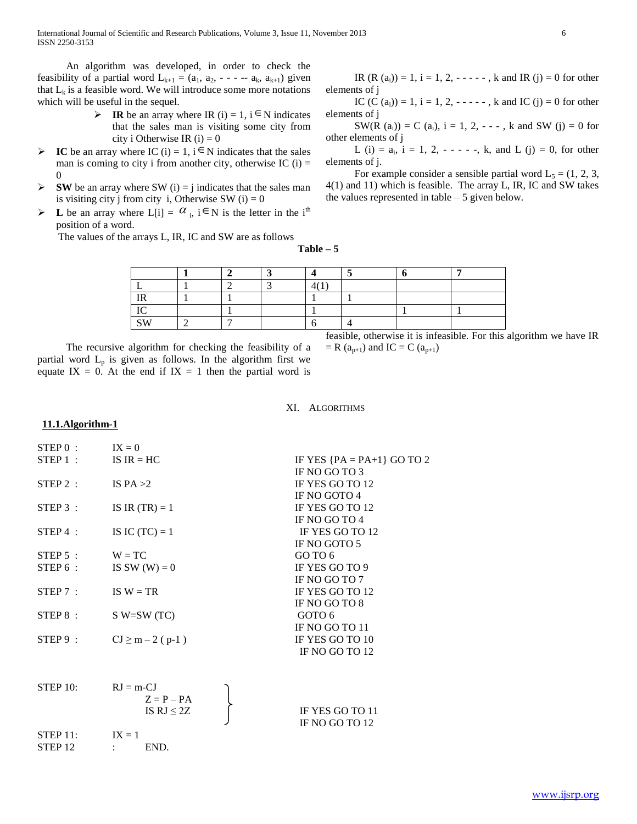International Journal of Scientific and Research Publications, Volume 3, Issue 11, November 2013 6 ISSN 2250-3153

 An algorithm was developed, in order to check the feasibility of a partial word  $L_{k+1} = (a_1, a_2, \ldots, a_k, a_{k+1})$  given that  $L_k$  is a feasible word. We will introduce some more notations which will be useful in the sequel.

- **IR** be an array where IR (i) = 1, i  $\in$  N indicates that the sales man is visiting some city from city i Otherwise IR  $(i) = 0$
- $\triangleright$  **IC** be an array where IC (i) = 1, i  $\in$  N indicates that the sales man is coming to city i from another city, otherwise IC  $(i)$  = 0
- $\triangleright$  **SW** be an array where SW (i) = j indicates that the sales man is visiting city j from city i, Otherwise SW  $(i) = 0$
- $\triangleright$  **L** be an array where  $L[i] = \alpha_i$ ,  $i \in N$  is the letter in the i<sup>th</sup> position of a word.

The values of the arrays L, IR, IC and SW are as follows

IR  $(R (a_i)) = 1$ ,  $i = 1, 2, - - - -$ , k and IR  $(j) = 0$  for other elements of j

IC  $(C (a_i)) = 1$ ,  $i = 1, 2, - - - -$ , k and IC  $(j) = 0$  for other elements of j

SW(R  $(a_i)$ ) = C  $(a_i)$ , i = 1, 2, - - - , k and SW (j) = 0 for other elements of j

L (i) =  $a_i$ , i = 1, 2, - - - -, k, and L (j) = 0, for other elements of j.

For example consider a sensible partial word  $L_5 = (1, 2, 3, ...)$ 4(1) and 11) which is feasible. The array L, IR, IC and SW takes the values represented in table  $-5$  given below.

**Table – 5**

| --                   |  |  |  |  |
|----------------------|--|--|--|--|
|                      |  |  |  |  |
| $\sim$ $\sim$ $\sim$ |  |  |  |  |

 The recursive algorithm for checking the feasibility of a partial word  $L_p$  is given as follows. In the algorithm first we equate IX = 0. At the end if IX = 1 then the partial word is feasible, otherwise it is infeasible. For this algorithm we have IR  $= R (a_{p+1})$  and IC  $= C (a_{p+1})$ 

#### XI. ALGORITHMS

# **11.1.Algorithm-1**

| STEP 0 :             | $IX = 0$              |                              |
|----------------------|-----------------------|------------------------------|
|                      | STEP 1 : $IS IR = HC$ | IF YES ${PA = PA+1}$ GO TO 2 |
|                      |                       | IF NO GO TO 3                |
| STEP 2:              | IS $PA > 2$           | IF YES GO TO 12              |
|                      |                       | IF NO GOTO 4                 |
| STEP 3:              | IS IR $(TR) = 1$      | IF YES GO TO 12              |
|                      |                       | IF NO GO TO 4                |
| $STEP 4$ :           | IS IC $(TC) = 1$      | IF YES GO TO 12              |
|                      |                       | IF NO GOTO 5                 |
| $STEP 5$ :           | $W = TC$              | GO TO 6                      |
| STEP 6 :             | IS SW $(W) = 0$       | IF YES GO TO 9               |
|                      |                       | IF NO GO TO 7                |
| STEP 7:              | IS $W = TR$           | IF YES GO TO 12              |
|                      |                       | IF NO GO TO 8                |
| STEP 8 :             | $S$ W=SW (TC)         | GOTO 6                       |
|                      |                       | IF NO GO TO 11               |
| STEP 9 :             | $CJ \ge m - 2$ (p-1)  | IF YES GO TO 10              |
|                      |                       | IF NO GO TO 12               |
|                      |                       |                              |
| STFP 10 <sup>2</sup> | $RI = m$ -CI          |                              |

| .                  | $\sim -11$   |                 |
|--------------------|--------------|-----------------|
|                    | $Z = P - PA$ |                 |
|                    | IS $RJ < 2Z$ | IF YES GO TO 11 |
|                    |              | IF NO GO TO 12  |
| $STEP$ 11:         | $IX = 1$     |                 |
| STEP <sub>12</sub> | END.         |                 |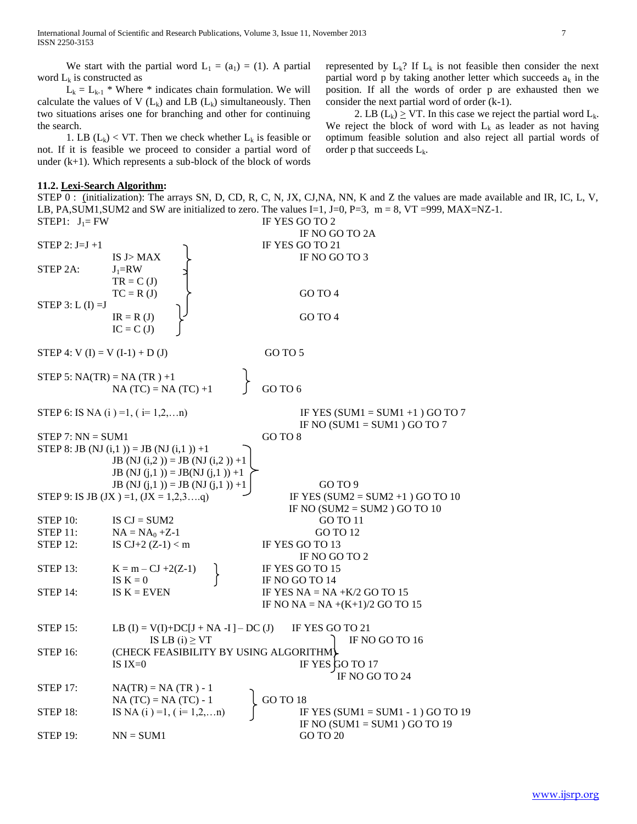We start with the partial word  $L_1 = (a_1) = (1)$ . A partial word  $L_k$  is constructed as

 $L_k = L_{k-1}$  \* Where \* indicates chain formulation. We will calculate the values of V  $(L_k)$  and LB  $(L_k)$  simultaneously. Then two situations arises one for branching and other for continuing the search.

1. LB  $(L_k)$  < VT. Then we check whether  $L_k$  is feasible or not. If it is feasible we proceed to consider a partial word of under  $(k+1)$ . Which represents a sub-block of the block of words

### **11.2. Lexi-Search Algorithm:**

STEP 0 : (initialization): The arrays SN, D, CD, R, C, N, JX, CJ,NA, NN, K and Z the values are made available and IR, IC, L, V, LB, PA,SUM1,SUM2 and SW are initialized to zero. The values I=1, J=0, P=3, m = 8, VT =999, MAX=NZ-1. STEP1:  $J_1$  = FW IF YES GO TO 2

IF NO GO TO 2A STEP 2:  $J=J+1$  IF YES GO TO 21 IS  $J > MAX$  IF NO GO TO 3 STEP 2A:  $J_1=RW$  $TR = C (J)$  $TC = R (J)$  GO TO 4 STEP  $3: L (I) = J$  $IR = R (J)$  GO TO 4  $IC = C (J)$ STEP 4:  $V(I) = V(I-1) + D(J)$  GO TO 5 STEP 5:  $NA(TR) = NA(TR) +1$ NA (TC) = NA (TC) +1  $\int$  GO TO 6 STEP 6: IS NA (i) =1, (i= 1,2,...n) IF YES (SUM1 = SUM1 +1) GO TO 7 IF NO (SUM $1 =$ SUM $1$ ) GO TO 7 STEP 7:  $NN = SUM1$  GO TO 8 STEP 8: JB (NJ  $(i,1)$ ) = JB (NJ  $(i,1)$ ) +1 **JB** (NJ (i,2)) = **JB** (NJ (i,2)) +1 **JB** (NJ  $(j,1)$ ) = **JB**(NJ  $(j,1)$ ) +1 JB (NJ  $(j,1)$ ) = JB (NJ  $(j,1)$ ) +1 | GO TO 9 STEP 9: IS JB (JX ) =1,  $(JX = 1, 2, 3, \ldots, q)$  IF YES (SUM2 = SUM2 +1) GO TO 10 IF NO  $(SUM2 = SUM2)$  GO TO 10 STEP 10: IS  $CI = SUM2$  GO TO 11 STEP 11:  $NA = NA_0 + Z-1$  GO TO 12 STEP 12: IS  $CI + 2 (Z-1) < m$  IF YES GO TO 13 IF NO GO TO 2 STEP 13:  $K = m - CJ + 2(Z-1)$  IF YES GO TO 15 IS  $K = 0$  IF NO GO TO 14 STEP 14: IS  $K =$  EVEN IF YES  $NA = NA + K/2$  GO TO 15 IF NO NA = NA  $+(K+1)/2$  GO TO 15 STEP 15: LB  $(I) = V(I) + DC[I + NA - I] - DC (J)$  IF YES GO TO 21 IS LB (i)  $\geq$  VT IF NO GO TO 16 STEP 16: (CHECK FEASIBILITY BY USING ALGORITHM) IS  $IX=0$  IF YES GO TO 17 IF NO GO TO 24 STEP 17:  $NA(TR) = NA (TR) - 1$  $NA (TC) = NA (TC) - 1$  (GO TO 18) STEP 18: IS NA (i ) =1, (i = 1,2,...n) IF YES (SUM1 = SUM1 - 1) GO TO 19 IF NO  $(SUM1 = SUM1)$  GO TO 19  $STEP 19: \t\t NN = SUM1$  GO TO 20

represented by  $L_k$ ? If  $L_k$  is not feasible then consider the next partial word p by taking another letter which succeeds  $a_k$  in the position. If all the words of order p are exhausted then we consider the next partial word of order (k-1).

2. LB  $(L_k) \geq V \cdot T$ . In this case we reject the partial word  $L_k$ . We reject the block of word with  $L_k$  as leader as not having optimum feasible solution and also reject all partial words of order p that succeeds  $L_k$ .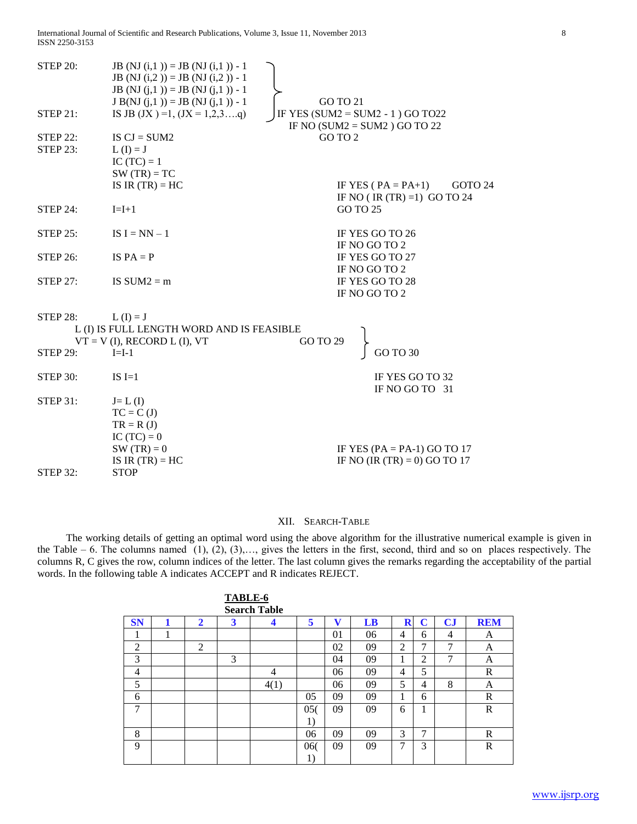International Journal of Scientific and Research Publications, Volume 3, Issue 11, November 2013 8 ISSN 2250-3153

| <b>STEP 20:</b><br>$STEP$ 21:      | JB (NJ $(i,1)$ ) = JB (NJ $(i,1)$ ) - 1<br>JB (NJ $(i,2)$ ) = JB (NJ $(i,2)$ ) - 1<br>JB (NJ $(i,1)$ ) = JB (NJ $(i,1)$ ) - 1<br>$J B(NJ (j,1)) = JB (NJ (j,1)) - 1$<br>IS JB (JX) = 1, $(JX = 1, 2, 3q)$ | GO TO 21 | IF YES (SUM2 = $SUM2 - 1$ ) GO TO22<br>IF NO $(SUM2 = SUM2)$ GO TO 22 |
|------------------------------------|-----------------------------------------------------------------------------------------------------------------------------------------------------------------------------------------------------------|----------|-----------------------------------------------------------------------|
| <b>STEP 22:</b><br><b>STEP 23:</b> | IS $CI = SUM2$<br>$L(I) = J$<br>IC $(TC) = 1$<br>$SW(TR) = TC$<br>IS IR $(TR) = HC$                                                                                                                       | GO TO 2  | IF YES ( $PA = PA+1$ )<br>GOTO 24                                     |
| STEP $24$ :                        | $I=I+1$                                                                                                                                                                                                   |          | IF NO (IR $(TR) = 1$ ) GO TO 24<br>GO TO 25                           |
| <b>STEP 25:</b>                    | IS $I = NN - 1$                                                                                                                                                                                           |          | IF YES GO TO 26<br>IF NO GO TO 2                                      |
| <b>STEP 26:</b>                    | IS $PA = P$                                                                                                                                                                                               |          | IF YES GO TO 27<br>IF NO GO TO 2                                      |
| <b>STEP 27:</b>                    | IS $SUM2 = m$                                                                                                                                                                                             |          | IF YES GO TO 28<br>IF NO GO TO 2                                      |
| <b>STEP 28:</b><br><b>STEP 29:</b> | $L(I) = J$<br>L (I) IS FULL LENGTH WORD AND IS FEASIBLE<br>$VT = V$ (I), RECORD L (I), VT<br>$I=I-1$                                                                                                      | GO TO 29 | <b>GO TO 30</b>                                                       |
| <b>STEP 30:</b>                    | $IS I=1$                                                                                                                                                                                                  |          | IF YES GO TO 32<br>IF NO GO TO 31                                     |
| <b>STEP 31:</b><br><b>STEP 32:</b> | $J=L(I)$<br>$TC = C (J)$<br>$TR = R (J)$<br>IC $(TC) = 0$<br>$SW(TR) = 0$<br>IS IR $(TR) = HC$<br><b>STOP</b>                                                                                             |          | IF YES (PA = PA-1) GO TO 17<br>IF NO (IR $(TR) = 0$ ) GO TO 17        |
|                                    |                                                                                                                                                                                                           |          |                                                                       |

# XII. SEARCH-TABLE

 The working details of getting an optimal word using the above algorithm for the illustrative numerical example is given in the Table – 6. The columns named (1), (2), (3),…, gives the letters in the first, second, third and so on places respectively. The columns R, C gives the row, column indices of the letter. The last column gives the remarks regarding the acceptability of the partial words. In the following table A indicates ACCEPT and R indicates REJECT.

|           |   |              | TABLE-6 |                     |        |    |    |   |    |                        |            |
|-----------|---|--------------|---------|---------------------|--------|----|----|---|----|------------------------|------------|
|           |   |              |         | <b>Search Table</b> |        |    |    |   |    |                        |            |
| <b>SN</b> |   | $\mathbf{2}$ | 3       | 4                   | 5      | v  | LB | R | C  | $\mathbf{C}\mathbf{J}$ | <b>REM</b> |
| 1         | 1 |              |         |                     |        | 01 | 06 | 4 | 6  | 4                      | A          |
| 2         |   | 2            |         |                     |        | 02 | 09 | 2 | 7  | 7                      | А          |
| 3         |   |              | 3       |                     |        | 04 | 09 | 1 | 2  | 7                      | А          |
| 4         |   |              |         | 4                   |        | 06 | 09 | 4 | 5  |                        | R          |
| 5         |   |              |         | 4(1)                |        | 06 | 09 | 5 | 4  | 8                      | А          |
| 6         |   |              |         |                     | 05     | 09 | 09 | 1 | 6  |                        | R          |
| 7         |   |              |         |                     | 05(    | 09 | 09 | 6 | л. |                        | R          |
|           |   |              |         |                     | 1)     |    |    |   |    |                        |            |
| 8         |   |              |         |                     | 06     | 09 | 09 | 3 | 7  |                        | R          |
| 9         |   |              |         |                     | 060    | 09 | 09 | 7 | 3  |                        | R          |
|           |   |              |         |                     | $_{1}$ |    |    |   |    |                        |            |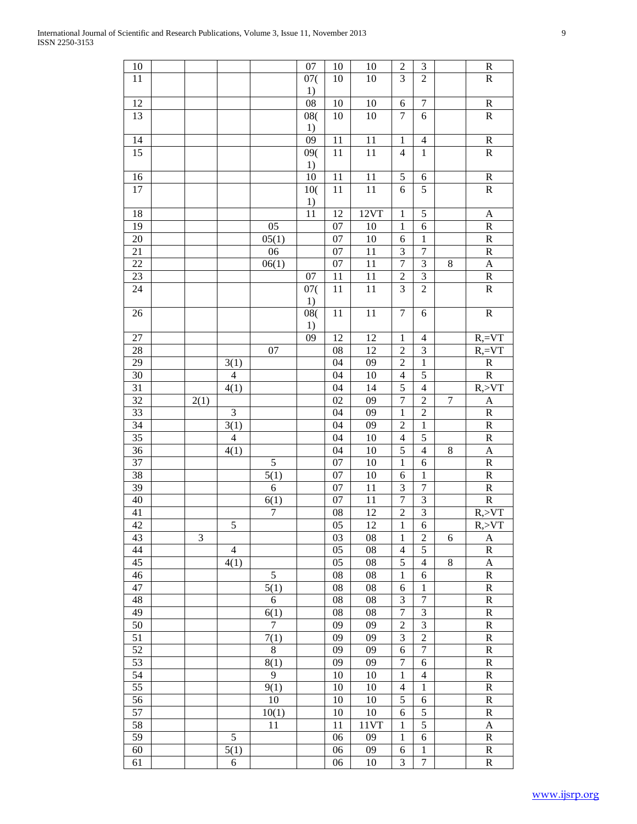| $10\,$          |      |                |                  | 07                    | $10\,$          | 10                | $\sqrt{2}$               | $\mathfrak{Z}$          |                  | $\mathbf R$             |
|-----------------|------|----------------|------------------|-----------------------|-----------------|-------------------|--------------------------|-------------------------|------------------|-------------------------|
| 11              |      |                |                  | 07(                   | 10              | 10                | $\overline{3}$           | $\overline{2}$          |                  | $\overline{R}$          |
| 12              |      |                |                  | 1)<br>$\overline{08}$ | $10\,$          | 10                | 6                        | $\boldsymbol{7}$        |                  | ${\bf R}$               |
| 13              |      |                |                  | 08(                   | 10              | 10                | $\tau$                   | 6                       |                  | ${\bf R}$               |
|                 |      |                |                  | 1)                    |                 |                   |                          |                         |                  |                         |
| $\overline{14}$ |      |                |                  | 09                    | 11              | $\overline{11}$   | $\mathbf 1$              | $\overline{4}$          |                  | $\overline{R}$          |
| $\overline{15}$ |      |                |                  | $\overline{09(}$      | $\overline{11}$ | $\overline{11}$   | $\overline{4}$           | $\overline{1}$          |                  | $\overline{R}$          |
|                 |      |                |                  | 1)                    |                 |                   |                          |                         |                  |                         |
| 16              |      |                |                  | $\overline{10}$       | 11              | 11                | 5                        | $\sqrt{6}$              |                  | ${\bf R}$               |
| 17              |      |                |                  | $10($                 | 11              | 11                | 6                        | $\overline{5}$          |                  | $\mathbf R$             |
|                 |      |                |                  | 1)                    |                 |                   |                          |                         |                  |                         |
| 18              |      |                |                  | $\overline{11}$       | 12              | 12VT              | $\mathbf{1}$             | $\sqrt{5}$              |                  | $\boldsymbol{\rm{A}}$   |
| 19              |      |                | 05               |                       | $\overline{07}$ | 10                | $\mathbf{1}$             | $\epsilon$              |                  | $\overline{R}$          |
| $20\,$          |      |                | 05(1)            |                       | $\overline{07}$ | 10                | 6                        | $\mathbf{1}$            |                  | $\overline{R}$          |
| 21              |      |                | 06               |                       | $\overline{07}$ | 11                | $\overline{\mathbf{3}}$  | $\overline{7}$          |                  | $\overline{R}$          |
| 22              |      |                | 06(1)            |                       | 07              | 11                | $\overline{7}$           | $\mathfrak{Z}$          | $\,8\,$          | $\mathbf{A}$            |
| $23\,$          |      |                |                  | 07                    | 11              | 11                | $\overline{c}$           | $\mathfrak{Z}$          |                  | $\overline{R}$          |
| 24              |      |                |                  | 07(                   | 11              | $11\,$            | $\overline{3}$           | $\overline{2}$          |                  | ${\bf R}$               |
|                 |      |                |                  | 1)                    |                 |                   |                          |                         |                  |                         |
| 26              |      |                |                  | 08(<br>1)             | 11              | $\overline{11}$   | $\overline{7}$           | 6                       |                  | $\overline{R}$          |
| 27              |      |                |                  | 09                    | 12              | 12                | $\,1$                    | $\overline{4}$          |                  | $R,=V T$                |
| 28              |      |                | 07               |                       | ${\bf 08}$      | 12                | $\overline{c}$           | $\mathfrak{Z}$          |                  | $R,=V T$                |
| 29              |      | 3(1)           |                  |                       | 04              | 09                | $\overline{2}$           | $\,1\,$                 |                  | $\overline{\text{R}}$   |
| 30              |      | $\overline{4}$ |                  |                       | 04              | 10                | $\overline{4}$           | 5                       |                  | $\overline{R}$          |
| $\overline{31}$ |      | 4(1)           |                  |                       | 04              | 14                | $\overline{5}$           | $\overline{4}$          |                  | $R, >V$ T               |
| $\overline{32}$ | 2(1) |                |                  |                       | 02              | 09                | $\overline{7}$           | $\overline{c}$          | $\boldsymbol{7}$ | $\mathbf{A}$            |
| $\overline{33}$ |      | 3              |                  |                       | 04              | 09                | $\mathbf{1}$             | $\overline{2}$          |                  | $\overline{R}$          |
| 34              |      | 3(1)           |                  |                       | 04              | 09                | $\overline{2}$           | $\mathbf{1}$            |                  | $\overline{\mathbf{R}}$ |
| $\overline{35}$ |      | $\overline{4}$ |                  |                       | 04              | 10                | $\overline{4}$           | 5                       |                  | ${\bf R}$               |
| 36              |      | 4(1)           |                  |                       | 04              | 10                | $\overline{5}$           | $\overline{4}$          | $\,8\,$          | $\mathbf{A}$            |
| $\overline{37}$ |      |                | 5                |                       | 07              | 10                | $\mathbf{1}$             | $\sqrt{6}$              |                  | $\overline{\mathbf{R}}$ |
| $\overline{38}$ |      |                | 5(1)             |                       | $0\overline{7}$ | 10                | $\epsilon$               | $\,1\,$                 |                  | ${\bf R}$               |
| 39              |      |                | 6                |                       | 07              | 11                | 3                        | $\boldsymbol{7}$        |                  | $\overline{\mathbf{R}}$ |
| 40              |      |                | 6(1)             |                       | 07              | 11                | $\overline{7}$           | $\mathfrak{Z}$          |                  | $\overline{R}$          |
| 41              |      |                | $\boldsymbol{7}$ |                       | 08              | 12                | $\overline{2}$           | $\overline{\mathbf{3}}$ |                  | R, YT                   |
| 42              |      | 5              |                  |                       | $\overline{05}$ | 12                | $\mathbf{1}$             | 6                       |                  | $R, >\sqrt{T}$          |
| 43              | 3    |                |                  |                       | 03              | 08                | $\mathbf{1}$             | $\overline{c}$          | 6                | A                       |
| 44              |      | $\overline{4}$ |                  |                       | 05              | 08                | $\overline{\mathcal{L}}$ | 5                       |                  | ${\bf R}$               |
| 45              |      | 4(1)           |                  |                       | 05              | $08\,$            | $\overline{5}$           | $\overline{4}$          | $\,8\,$          | A                       |
| 46              |      |                | $\mathfrak s$    |                       | 08              | $08\,$            | $\,1$                    | $\boldsymbol{6}$        |                  | $\mathbf R$             |
| 47              |      |                | 5(1)             |                       | 08              | $08\,$            | 6                        | $\mathbf{1}$            |                  | $\mathbf R$             |
| 48              |      |                | 6                |                       | 08              | $08\,$            | $\mathfrak{Z}$           | $\overline{7}$          |                  | $\mathbf R$             |
| 49              |      |                | 6(1)             |                       | 08              | $08\,$            | $\overline{7}$           | 3                       |                  | ${\bf R}$               |
| $\overline{50}$ |      |                | $\overline{7}$   |                       | $\overline{09}$ | 09                | $\overline{c}$           | $\overline{3}$          |                  | ${\bf R}$               |
| $\overline{51}$ |      |                | 7(1)             |                       | 09              | 09                | $\overline{3}$           | $\overline{2}$          |                  | ${\bf R}$               |
| $\overline{52}$ |      |                | $8\,$            |                       | 09              | 09                | $\boldsymbol{6}$         | $\overline{7}$          |                  | ${\bf R}$               |
| $\overline{53}$ |      |                | 8(1)             |                       | 09              | 09                | $\overline{7}$           | 6                       |                  | ${\bf R}$               |
| $\overline{54}$ |      |                | $\overline{9}$   |                       | 10              | 10                | $\mathbf{1}$             | $\overline{4}$          |                  | ${\bf R}$               |
| 55              |      |                | 9(1)             |                       | 10              | 10                | $\overline{\mathcal{L}}$ | $\,1\,$                 |                  | ${\bf R}$               |
| 56              |      |                | 10               |                       | 10              | 10                | $\overline{5}$           | 6                       |                  | ${\bf R}$               |
| $\overline{57}$ |      |                | 10(1)            |                       | 10              | 10                | 6                        | 5                       |                  | ${\bf R}$               |
| $\overline{58}$ |      |                | 11               |                       | 11              | $\overline{11VT}$ | $\mathbf{1}$             | $\overline{5}$          |                  | $\mathbf{A}$            |
| 59              |      | 5              |                  |                       | 06              | 09                | $\mathbf{1}$             | $\boldsymbol{6}$        |                  | ${\bf R}$               |
| 60              |      | 5(1)           |                  |                       | 06              | 09                | $\boldsymbol{6}$         | $\mathbf{1}$            |                  | ${\bf R}$               |
| 61              |      | 6              |                  |                       | 06              | 10                | 3                        | $\boldsymbol{7}$        |                  | ${\bf R}$               |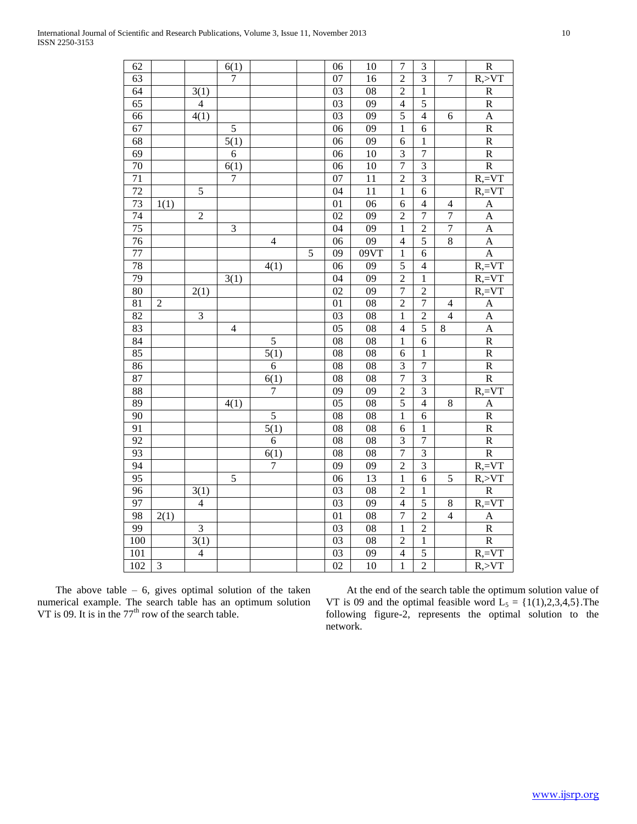| 62              |                |                | 6(1)              |                   |                | 06              | 10              | $\tau$                  | 3                        |                  | $\mathbf R$             |
|-----------------|----------------|----------------|-------------------|-------------------|----------------|-----------------|-----------------|-------------------------|--------------------------|------------------|-------------------------|
| 63              |                |                | $\overline{7}$    |                   |                | 07              | 16              | $\overline{2}$          | $\overline{3}$           | $\overline{7}$   | R, > VT                 |
| 64              |                | 3(1)           |                   |                   |                | 03              | ${\bf 08}$      | $\overline{\mathbf{c}}$ | $\mathbf{1}$             |                  | ${\bf R}$               |
| 65              |                | $\overline{4}$ |                   |                   |                | 03              | 09              | $\overline{4}$          | 5                        |                  | $\mathbf R$             |
| $\overline{66}$ |                | 4(1)           |                   |                   |                | 03              | $\overline{09}$ | $\overline{5}$          | $\overline{4}$           | 6                | $\mathbf{A}$            |
| 67              |                |                | $\overline{5}$    |                   |                | 06              | 09              | $\mathbf{1}$            | 6                        |                  | $\overline{R}$          |
| $\overline{68}$ |                |                | 5(1)              |                   |                | 06              | 09              | $\overline{6}$          | $\mathbf{1}$             |                  | $\overline{R}$          |
| 69              |                |                | $\overline{6}$    |                   |                | $\overline{06}$ | $\overline{10}$ | $\overline{3}$          | $\overline{7}$           |                  | $\overline{\text{R}}$   |
| 70              |                |                | $\overline{6(1)}$ |                   |                | $\overline{06}$ | $\overline{10}$ | $\overline{7}$          | $\overline{3}$           |                  | $\overline{R}$          |
| 71              |                |                | $\overline{7}$    |                   |                | $\overline{07}$ | 11              | $\overline{2}$          | $\overline{3}$           |                  | $R,=V$ T                |
| $\overline{72}$ |                | $\overline{5}$ |                   |                   |                | 04              | 11              | $\mathbf{1}$            | 6                        |                  | $R,=V T$                |
| 73              | 1(1)           |                |                   |                   |                | 01              | 06              | $\boldsymbol{6}$        | $\overline{\mathcal{A}}$ | $\overline{4}$   | $\overline{A}$          |
| 74              |                | $\overline{c}$ |                   |                   |                | 02              | 09              | $\overline{c}$          | $\overline{7}$           | $\boldsymbol{7}$ | $\mathbf{A}$            |
| $\overline{75}$ |                |                | 3                 |                   |                | 04              | 09              | $\mathbf{1}$            | $\overline{2}$           | $\boldsymbol{7}$ | A                       |
| 76              |                |                |                   | $\overline{4}$    |                | 06              | 09              | $\overline{4}$          | $\overline{5}$           | $\overline{8}$   | $\overline{A}$          |
| 77              |                |                |                   |                   | $\overline{5}$ | 09              | 09VT            | $\mathbf{1}$            | $\overline{6}$           |                  | $\overline{A}$          |
| 78              |                |                |                   | 4(1)              |                | 06              | $\overline{09}$ | $\overline{5}$          | $\overline{4}$           |                  | $R, = VT$               |
| 79              |                |                | 3(1)              |                   |                | $\overline{04}$ | $\overline{09}$ | $\overline{2}$          | $\mathbf{1}$             |                  | $R,=V$ T                |
| $\overline{80}$ |                | 2(1)           |                   |                   |                | $\overline{02}$ | $\overline{09}$ | $\overline{7}$          | $\overline{2}$           |                  | $R,=V$ T                |
| 81              | $\overline{2}$ |                |                   |                   |                | 01              | 08              | $\overline{2}$          | $\overline{7}$           | $\overline{4}$   | $\mathbf{A}$            |
| $\overline{82}$ |                | $\overline{3}$ |                   |                   |                | 03              | 08              | $\mathbf{1}$            | $\overline{c}$           | $\overline{4}$   | $\mathbf{A}$            |
| 83              |                |                | $\overline{4}$    |                   |                | 05              | 08              | $\overline{4}$          | 5                        | $\,8\,$          | $\mathbf{A}$            |
| 84              |                |                |                   | 5                 |                | 08              | $\overline{08}$ | $\mathbf{1}$            | $\overline{6}$           |                  | $\overline{R}$          |
| 85              |                |                |                   | $\overline{5(1)}$ |                | $\overline{08}$ | $\overline{08}$ | $\overline{6}$          | $\overline{1}$           |                  | $\overline{\mathbf{R}}$ |
| 86              |                |                |                   | 6                 |                | $\overline{08}$ | $\overline{08}$ | $\overline{3}$          | $\overline{7}$           |                  | $\overline{R}$          |
| 87              |                |                |                   | $\overline{6(1)}$ |                | $\overline{08}$ | $\overline{08}$ | $\overline{7}$          | $\overline{3}$           |                  | $\overline{R}$          |
| 88              |                |                |                   | $\overline{7}$    |                | 09              | 09              | $\overline{2}$          | $\overline{\mathbf{3}}$  |                  | $R,=V$ T                |
| 89              |                |                | 4(1)              |                   |                | $\overline{05}$ | 08              | $\overline{5}$          | $\overline{\mathcal{L}}$ | $8\,$            | $\boldsymbol{\rm{A}}$   |
| 90              |                |                |                   | $\overline{5}$    |                | 08              | ${\bf 08}$      | $\mathbf{1}$            | 6                        |                  | ${\bf R}$               |
| 91              |                |                |                   | 5(1)              |                | 08              | 08              | $\overline{6}$          | $\,1$                    |                  | ${\bf R}$               |
| $\overline{92}$ |                |                |                   | 6                 |                | 08              | $\overline{08}$ | $\overline{\mathbf{3}}$ | $\overline{7}$           |                  | $\overline{R}$          |
| 93              |                |                |                   | 6(1)              |                | 08              | $\overline{08}$ | $\overline{7}$          | $\overline{3}$           |                  | $\overline{\text{R}}$   |
| 94              |                |                |                   | $\overline{7}$    |                | $\overline{09}$ | $\overline{09}$ | $\overline{2}$          | $\overline{3}$           |                  | $R,=V T$                |
| 95              |                |                | $\overline{5}$    |                   |                | $\overline{06}$ | 13              | $\overline{1}$          | $\overline{6}$           | $\overline{5}$   | R, >VT                  |
| $\overline{96}$ |                | 3(1)           |                   |                   |                | 03              | $\overline{08}$ | $\overline{2}$          | $\mathbf{1}$             |                  | $\overline{R}$          |
| 97              |                | $\overline{4}$ |                   |                   |                | $\overline{03}$ | $\overline{09}$ | $\overline{4}$          | $\overline{5}$           | $\,8\,$          | $R,=V$ T                |
| 98              | 2(1)           |                |                   |                   |                | $\overline{01}$ | 08              | $\overline{7}$          | $\overline{2}$           | $\overline{4}$   | $\mathbf{A}$            |
| 99              |                | $\overline{3}$ |                   |                   |                | $\overline{03}$ | 08              | $\mathbf{1}$            | $\overline{c}$           |                  | $\overline{R}$          |
| 100             |                | 3(1)           |                   |                   |                | 03              | 08              | $\overline{c}$          | $\mathbf{1}$             |                  | $\overline{R}$          |
| 101             |                | $\overline{4}$ |                   |                   |                | 03              | $\overline{09}$ | $\overline{4}$          | $\overline{5}$           |                  | $R,=V$ T                |

102 3 | | | | 02 | 10 | 1 | 2 | R,>VT

The above table  $-6$ , gives optimal solution of the taken numerical example. The search table has an optimum solution VT is 09. It is in the  $77<sup>th</sup>$  row of the search table.

 At the end of the search table the optimum solution value of VT is 09 and the optimal feasible word  $L_5 = \{1(1),2,3,4,5\}$ . The following figure-2, represents the optimal solution to the network.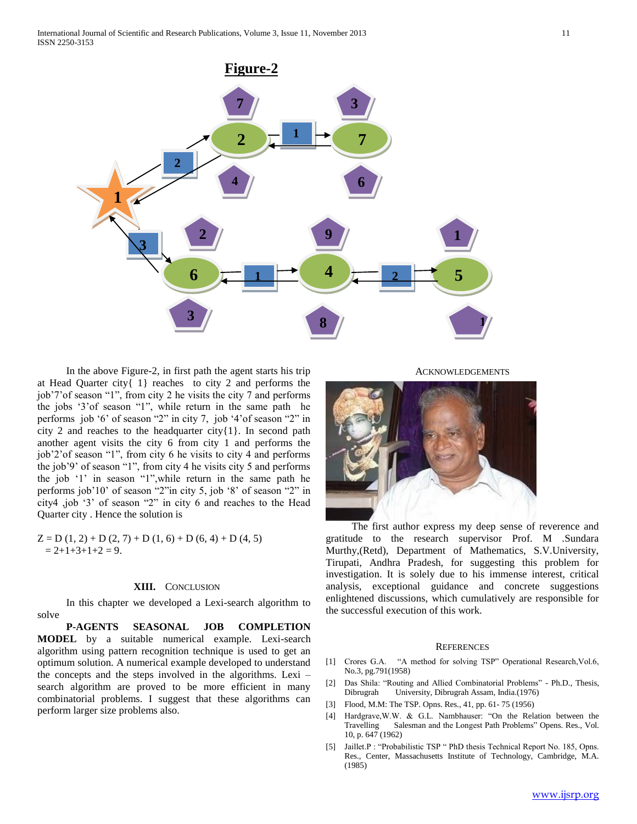

 In the above Figure-2, in first path the agent starts his trip at Head Quarter city{ 1} reaches to city 2 and performs the job'7'of season "1", from city 2 he visits the city 7 and performs the jobs '3'of season "1", while return in the same path he performs job '6' of season "2" in city 7, job '4'of season "2" in city 2 and reaches to the headquarter city{1}. In second path another agent visits the city 6 from city 1 and performs the job'2'of season "1", from city 6 he visits to city 4 and performs the job'9' of season "1", from city 4 he visits city 5 and performs the job '1' in season "1",while return in the same path he performs job'10' of season "2"in city 5, job '8' of season "2" in city4 ,job '3' of season "2" in city 6 and reaches to the Head Quarter city . Hence the solution is

 $Z = D(1, 2) + D(2, 7) + D(1, 6) + D(6, 4) + D(4, 5)$  $= 2+1+3+1+2 = 9.$ 

#### **XIII.** CONCLUSION

 In this chapter we developed a Lexi-search algorithm to solve

 **P-AGENTS SEASONAL JOB COMPLETION MODEL** by a suitable numerical example. Lexi-search algorithm using pattern recognition technique is used to get an optimum solution. A numerical example developed to understand the concepts and the steps involved in the algorithms. Lexi – search algorithm are proved to be more efficient in many combinatorial problems. I suggest that these algorithms can perform larger size problems also.

**ACKNOWLEDGEMENTS** 



 The first author express my deep sense of reverence and gratitude to the research supervisor Prof. M .Sundara Murthy,(Retd), Department of Mathematics, S.V.University, Tirupati, Andhra Pradesh, for suggesting this problem for investigation. It is solely due to his immense interest, critical analysis, exceptional guidance and concrete suggestions enlightened discussions, which cumulatively are responsible for the successful execution of this work.

#### **REFERENCES**

- [1] Crores G.A. "A method for solving TSP" Operational Research,Vol.6, No.3, pg.791(1958)
- [2] Das Shila: "Routing and Allied Combinatorial Problems" Ph.D., Thesis, Dibrugrah University, Dibrugrah Assam, India.(1976)
- [3] Flood, M.M: The TSP. Opns. Res., 41, pp. 61- 75 (1956)
- [4] Hardgrave,W.W. & G.L. Nambhauser: "On the Relation between the Salesman and the Longest Path Problems" Opens. Res., Vol. 10, p. 647 (1962)
- [5] Jaillet.P : "Probabilistic TSP " PhD thesis Technical Report No. 185, Opns. Res., Center, Massachusetts Institute of Technology, Cambridge, M.A. (1985)